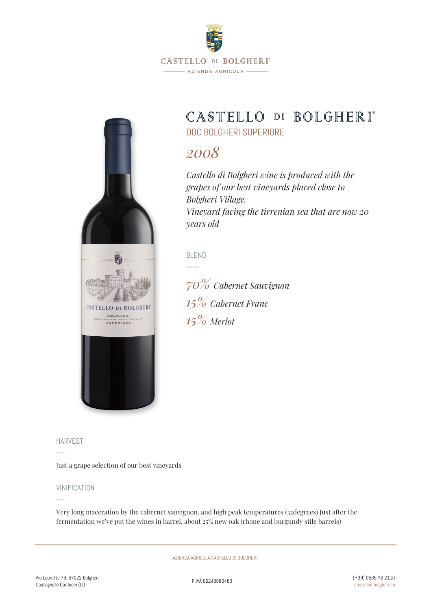

# CASTELLO DI BOLGHERI\*

DOC BOLGHERI SUPERIORE

## *2008*

*Castello di Bolgheri wine is produced with the grapes of our best vineyards placed close to Bolgheri Village. Vineyard facing the tirrenian sea that are now 20 years old*

BLEND

*70% Cabernet Sauvignon 15% Cabernet Franc 15% Merlot*



HARVEST

Just a grape selection of our best vineyards

#### VINIFICATION

Very long maceration by the cabernet sauvignon, and high peak temperatures (32degrees) Just after the fermentation we've put the wines in barrel, about 25% new oak (rhone and burgundy stile barrels)

AZIENDA AGRICOLA CASTELLO DI BOLGHERI